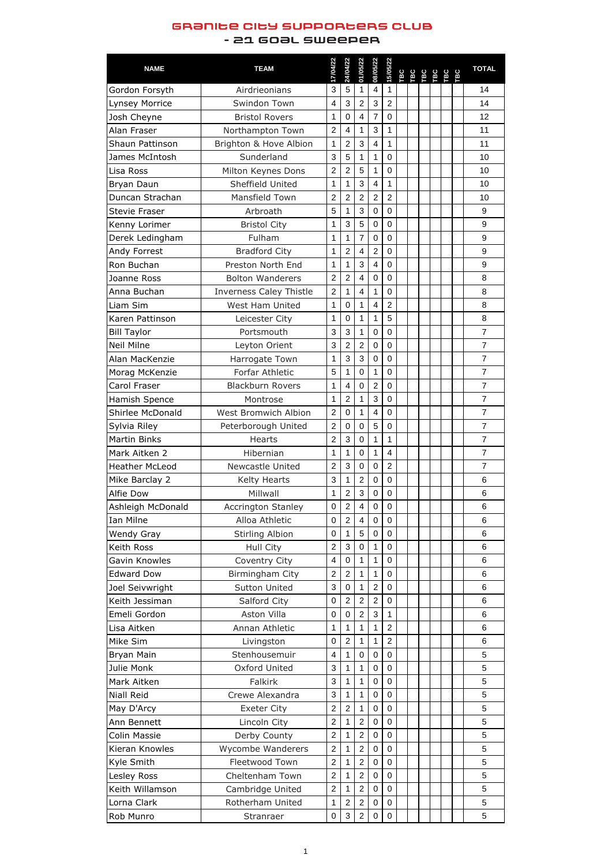## GRƏNICE CICY SUPPORCERS CLUB

## - 21 GOƏL SWEEPER

| <b>NAME</b>                              | <b>TEAM</b>                    | 17/04/22         | 24/04/22       | 01/05/22                 | 08/05/22                | 15/05/22       |  | TBC<br>TBC<br>TBC<br>TBC<br>TBC |  | <b>TOTAL</b>   |
|------------------------------------------|--------------------------------|------------------|----------------|--------------------------|-------------------------|----------------|--|---------------------------------|--|----------------|
| Gordon Forsyth                           | Airdrieonians                  | 3                | 5              | $\mathbf{1}$             | $\overline{4}$          | $\mathbf{1}$   |  |                                 |  | 14             |
| Lynsey Morrice                           | <b>Swindon Town</b>            | $\overline{4}$   | 3              | $\overline{2}$           | 3                       | $\overline{2}$ |  |                                 |  | 14             |
| Josh Cheyne                              | <b>Bristol Rovers</b>          | 1                | $\overline{0}$ | $\overline{4}$           | $\overline{7}$          | $\mathbf 0$    |  |                                 |  | 12             |
| Alan Fraser                              | Northampton Town               | $\overline{2}$   | 4              | 1                        | 3                       | $\mathbf 1$    |  |                                 |  | 11             |
| Shaun Pattinson                          | Brighton & Hove Albion         | 1                | $\overline{2}$ | 3                        | $\overline{\mathbf{4}}$ | $\mathbf 1$    |  |                                 |  | 11             |
| James McIntosh                           | Sunderland                     | 3                | 5              | 1                        | 1                       | $\mathbf 0$    |  |                                 |  | 10             |
| Lisa Ross                                | Milton Keynes Dons             | $\overline{2}$   | $\overline{2}$ | 5                        | 1                       | $\mathbf 0$    |  |                                 |  | 10             |
| Bryan Daun                               | Sheffield United               | $\mathbf 1$      | 1              | 3                        | $\overline{\mathbf{4}}$ | $\mathbf{1}$   |  |                                 |  | 10             |
| Duncan Strachan                          | <b>Mansfield Town</b>          | $\overline{2}$   | $\overline{2}$ | $\overline{2}$           | $\overline{2}$          | $\overline{2}$ |  |                                 |  | 10             |
| <b>Stevie Fraser</b>                     | Arbroath                       | 5                | 1              | 3                        | $\mathbf 0$             | $\overline{0}$ |  |                                 |  | 9              |
| Kenny Lorimer                            | <b>Bristol City</b>            | 1                | 3              | 5                        | $\overline{0}$          | $\overline{0}$ |  |                                 |  | 9              |
| Derek Ledingham                          | Fulham                         | 1                | 1              | $\overline{7}$           | $\mathbf 0$             | $\mathbf 0$    |  |                                 |  | 9              |
| Andy Forrest                             | <b>Bradford City</b>           | 1                | $\overline{2}$ | $\overline{4}$           | $\overline{2}$          | $\mathbf 0$    |  |                                 |  | 9              |
| Ron Buchan                               | Preston North End              | 1                | 1              | 3                        | $\overline{4}$          | $\overline{0}$ |  |                                 |  | 9              |
| Joanne Ross                              | <b>Bolton Wanderers</b>        | $\overline{2}$   | $\overline{2}$ | $\overline{4}$           | $\mathbf 0$             | $\mathbf 0$    |  |                                 |  | 8              |
| Anna Buchan                              | <b>Inverness Caley Thistle</b> | $\overline{2}$   | 1              | $\overline{4}$           | 1                       | $\mathbf 0$    |  |                                 |  | 8              |
| Liam Sim                                 | <b>West Ham United</b>         | 1                | 0              | 1                        | $\overline{\mathbf{4}}$ | $\overline{2}$ |  |                                 |  | 8              |
| Karen Pattinson                          | Leicester City                 | 1                | 0              | $\mathbf 1$              | 1                       | 5              |  |                                 |  | 8              |
| <b>Bill Taylor</b>                       | Portsmouth                     | 3                | 3              | 1                        | $\boldsymbol{0}$        | $\mathbf 0$    |  |                                 |  | $\overline{7}$ |
| <b>Neil Milne</b>                        | Leyton Orient                  | 3                | $\overline{2}$ | $\overline{2}$           | $\boldsymbol{0}$        | $\mathbf 0$    |  |                                 |  | $\overline{7}$ |
| Alan MacKenzie                           | Harrogate Town                 | $\mathbf{1}$     | 3              | 3                        | $\boldsymbol{0}$        | $\mathbf 0$    |  |                                 |  | $\overline{7}$ |
| Morag McKenzie                           | <b>Forfar Athletic</b>         | 5                | 1              | $\mathbf 0$              | 1                       | $\mathbf 0$    |  |                                 |  | $\overline{7}$ |
| Carol Fraser                             | <b>Blackburn Rovers</b>        | 1                | 4              | $\boldsymbol{0}$         | $\overline{2}$          | $\mathbf 0$    |  |                                 |  | $\overline{7}$ |
|                                          | Montrose                       | 1                | $\overline{2}$ | $\mathbf 1$              | 3                       | $\overline{0}$ |  |                                 |  | $\overline{7}$ |
| Hamish Spence<br><b>Shirlee McDonald</b> | <b>West Bromwich Albion</b>    | $\overline{2}$   | 0              | $\mathbf{1}$             | $\overline{4}$          | $\overline{0}$ |  |                                 |  | $\overline{7}$ |
|                                          |                                |                  | $\overline{0}$ | $\mathbf 0$              | 5                       | $\overline{0}$ |  |                                 |  | $\overline{7}$ |
| Sylvia Riley                             | Peterborough United            | $\overline{2}$   | 3              |                          |                         |                |  |                                 |  | $\overline{7}$ |
| <b>Martin Binks</b>                      | <b>Hearts</b>                  | $\overline{2}$   |                | $\mathbf 0$              | 1                       | $\mathbf 1$    |  |                                 |  |                |
| Mark Aitken 2                            | Hibernian                      | 1                | 1              | $\mathbf 0$              | 1                       | $\overline{4}$ |  |                                 |  | $\overline{7}$ |
| <b>Heather McLeod</b>                    | <b>Newcastle United</b>        | $\overline{2}$   | 3              | $\mathbf 0$              | $\mathbf 0$             | $\overline{2}$ |  |                                 |  | $\overline{7}$ |
| Mike Barclay 2                           | <b>Kelty Hearts</b>            | 3                | 1              | $\overline{2}$           | $\mathbf 0$             | $\mathbf 0$    |  |                                 |  | $6\phantom{1}$ |
| <b>Alfie Dow</b>                         | Millwall                       | 1                | $\overline{2}$ | 3                        | $\mathbf 0$             | $\mathbf 0$    |  |                                 |  | 6              |
| Ashleigh McDonald                        | <b>Accrington Stanley</b>      | 0                | $\overline{2}$ | $\overline{\mathcal{A}}$ | $\boldsymbol{0}$        | $\mathbf 0$    |  |                                 |  | 6              |
| <b>Ian Milne</b>                         | Alloa Athletic                 | $\boldsymbol{0}$ | $\overline{2}$ | $\overline{\mathbf{4}}$  | $\boldsymbol{0}$        | $\mathbf 0$    |  |                                 |  | 6              |
| <b>Wendy Gray</b>                        | <b>Stirling Albion</b>         | 0                | 1              | 5                        | $\mathbf 0$             | $\overline{0}$ |  |                                 |  | 6              |
| Keith Ross                               | Hull City                      | $\overline{2}$   | 3              | $\mathbf 0$              | 1                       | $\mathbf 0$    |  |                                 |  | $6\phantom{1}$ |
| Gavin Knowles                            | Coventry City                  | $\overline{4}$   | 0              | $\mathbf{1}$             | $\mathbf{1}$            | $\mathbf 0$    |  |                                 |  | 6              |
| <b>Edward Dow</b>                        | Birmingham City                | $\overline{2}$   | $\overline{2}$ | $\mathbf{1}$             | 1                       | $\mathbf 0$    |  |                                 |  | 6              |
| Joel Seivwright                          | <b>Sutton United</b>           | 3                | 0              | $\mathbf 1$              | $\overline{2}$          | $\mathbf 0$    |  |                                 |  | 6              |
| Keith Jessiman                           | Salford City                   | $\pmb{0}$        | $\overline{2}$ | $\overline{2}$           | $\overline{2}$          | $\mathbf 0$    |  |                                 |  | $6\phantom{1}$ |
| Emeli Gordon                             | <b>Aston Villa</b>             | 0                | 0              | $\overline{2}$           | 3                       | $\mathbf 1$    |  |                                 |  | 6              |
| Lisa Aitken                              | Annan Athletic                 | 1                | 1              | 1                        | 1                       | $\overline{2}$ |  |                                 |  | 6              |
| Mike Sim                                 | Livingston                     | $\mathbf 0$      | $\overline{2}$ | $\mathbf 1$              | 1                       | $\overline{2}$ |  |                                 |  | 6              |
| Bryan Main                               | Stenhousemuir                  | $\overline{4}$   | 1              | $\mathbf 0$              | $\mathbf 0$             | $\overline{0}$ |  |                                 |  | 5              |
| Julie Monk                               | <b>Oxford United</b>           | 3                | 1              | 1                        | $\boldsymbol{0}$        | $\mathbf 0$    |  |                                 |  | 5              |
| Mark Aitken                              | Falkirk                        | 3                | 1              | $\mathbf{1}$             | $\boldsymbol{0}$        | $\mathbf 0$    |  |                                 |  | 5              |
| <b>Niall Reid</b>                        | Crewe Alexandra                | 3                | 1              | $\mathbf 1$              | $\overline{0}$          | $\overline{0}$ |  |                                 |  | 5              |
| May D'Arcy                               | <b>Exeter City</b>             | $\overline{2}$   | $\overline{2}$ | 1                        | 0 <sup>1</sup>          | $\pmb{0}$      |  |                                 |  | 5              |
| Ann Bennett                              | Lincoln City                   | $\overline{2}$   | 1              | $\overline{2}$           | $\overline{0}$          | $\overline{0}$ |  |                                 |  | 5              |
| <b>Colin Massie</b>                      | Derby County                   | $\overline{2}$   | 1              | $\overline{2}$           | $\mathbf 0$             | $\mathbf 0$    |  |                                 |  | 5              |
| Kieran Knowles                           | Wycombe Wanderers              | $\overline{2}$   | 1              | $\overline{2}$           | $\mathbf 0$             | $\mathbf 0$    |  |                                 |  | 5              |
| Kyle Smith                               | <b>Fleetwood Town</b>          | $\overline{2}$   | 1              | $\overline{2}$           | $\mathbf 0$             | $\mathbf 0$    |  |                                 |  | 5              |
| Lesley Ross                              | Cheltenham Town                | $\overline{2}$   | 1              | $\overline{2}$           | $\mathbf 0$             | $\mathbf 0$    |  |                                 |  | 5              |
| Keith Willamson                          | Cambridge United               | $\overline{2}$   | 1              | $\overline{2}$           | $\mathbf 0$             | $\mathbf 0$    |  |                                 |  | 5              |
| Lorna Clark                              | Rotherham United               | 1                | $\overline{2}$ | $\overline{2}$           | $\mathbf 0$             | $\mathbf 0$    |  |                                 |  | 5              |
| Rob Munro                                | Stranraer                      | $\mathbf 0$      | 3              | $\overline{2}$           | 0                       | $\pmb{0}$      |  |                                 |  | 5              |